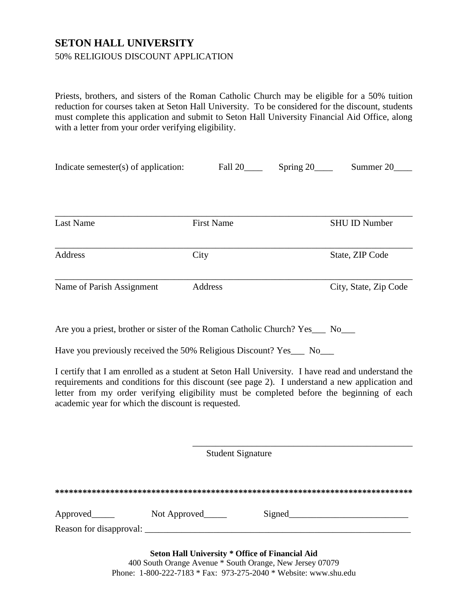## **SETON HALL UNIVERSITY**

## 50% RELIGIOUS DISCOUNT APPLICATION

Priests, brothers, and sisters of the Roman Catholic Church may be eligible for a 50% tuition reduction for courses taken at Seton Hall University. To be considered for the discount, students must complete this application and submit to Seton Hall University Financial Aid Office, along with a letter from your order verifying eligibility.

| Indicate semester(s) of application: | Fall 20           | Spring 20 | Summer 20             |
|--------------------------------------|-------------------|-----------|-----------------------|
|                                      |                   |           |                       |
| Last Name                            | <b>First Name</b> |           | <b>SHU ID Number</b>  |
| Address                              | City              |           | State, ZIP Code       |
| Name of Parish Assignment            | Address           |           | City, State, Zip Code |

Are you a priest, brother or sister of the Roman Catholic Church? Yes\_\_\_ No\_\_\_

Have you previously received the 50% Religious Discount? Yes\_\_\_ No\_\_\_

I certify that I am enrolled as a student at Seton Hall University. I have read and understand the requirements and conditions for this discount (see page 2). I understand a new application and letter from my order verifying eligibility must be completed before the beginning of each academic year for which the discount is requested.

Student Signature

\_\_\_\_\_\_\_\_\_\_\_\_\_\_\_\_\_\_\_\_\_\_\_\_\_\_\_\_\_\_\_\_\_\_\_\_\_\_\_\_\_\_\_\_\_\_\_\_

| Approved                | Not Approved                                           | Signed |  |
|-------------------------|--------------------------------------------------------|--------|--|
| Reason for disapproval: |                                                        |        |  |
|                         | <b>Seton Hall University * Office of Financial Aid</b> |        |  |

400 South Orange Avenue \* South Orange, New Jersey 07079 Phone: 1-800-222-7183 \* Fax: 973-275-2040 \* Website: www.shu.edu